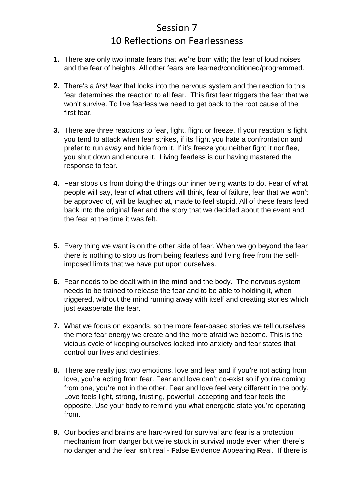## Session 7 10 Reflections on Fearlessness

- **1.** There are only two innate fears that we're born with; the fear of loud noises and the fear of heights. All other fears are learned/conditioned/programmed.
- **2.** There's a *first fear* that locks into the nervous system and the reaction to this fear determines the reaction to all fear. This first fear triggers the fear that we won't survive. To live fearless we need to get back to the root cause of the first fear.
- **3.** There are three reactions to fear, fight, flight or freeze. If your reaction is fight you tend to attack when fear strikes, if its flight you hate a confrontation and prefer to run away and hide from it. If it's freeze you neither fight it nor flee, you shut down and endure it. Living fearless is our having mastered the response to fear.
- **4.** Fear stops us from doing the things our inner being wants to do. Fear of what people will say, fear of what others will think, fear of failure, fear that we won't be approved of, will be laughed at, made to feel stupid. All of these fears feed back into the original fear and the story that we decided about the event and the fear at the time it was felt.
- **5.** Every thing we want is on the other side of fear. When we go beyond the fear there is nothing to stop us from being fearless and living free from the selfimposed limits that we have put upon ourselves.
- **6.** Fear needs to be dealt with in the mind and the body. The nervous system needs to be trained to release the fear and to be able to holding it, when triggered, without the mind running away with itself and creating stories which just exasperate the fear.
- **7.** What we focus on expands, so the more fear-based stories we tell ourselves the more fear energy we create and the more afraid we become. This is the vicious cycle of keeping ourselves locked into anxiety and fear states that control our lives and destinies.
- **8.** There are really just two emotions, love and fear and if you're not acting from love, you're acting from fear. Fear and love can't co-exist so if you're coming from one, you're not in the other. Fear and love feel very different in the body. Love feels light, strong, trusting, powerful, accepting and fear feels the opposite. Use your body to remind you what energetic state you're operating from.
- **9.** Our bodies and brains are hard-wired for survival and fear is a protection mechanism from danger but we're stuck in survival mode even when there's no danger and the fear isn't real - **F**alse **E**vidence **A**ppearing **R**eal. If there is